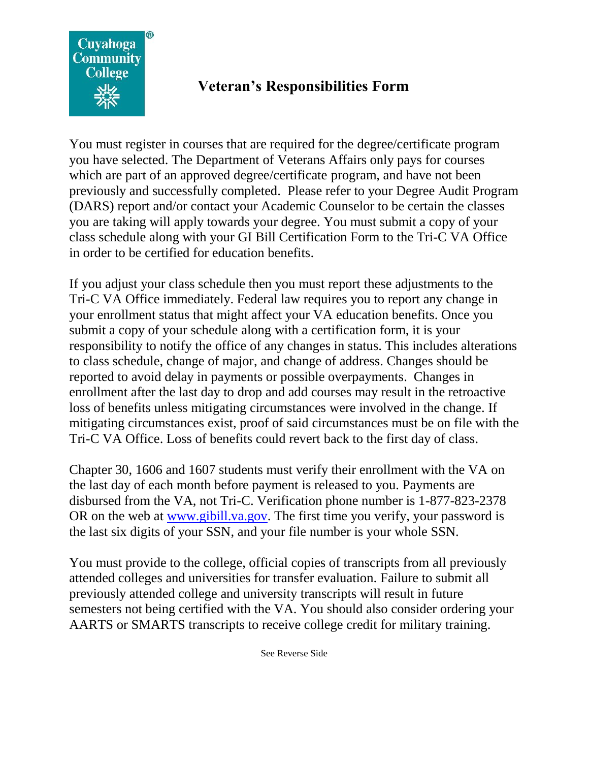

## **Veteran's Responsibilities Form**

You must register in courses that are required for the degree/certificate program you have selected. The Department of Veterans Affairs only pays for courses which are part of an approved degree/certificate program, and have not been previously and successfully completed. Please refer to your Degree Audit Program (DARS) report and/or contact your Academic Counselor to be certain the classes you are taking will apply towards your degree. You must submit a copy of your class schedule along with your GI Bill Certification Form to the Tri-C VA Office in order to be certified for education benefits.

If you adjust your class schedule then you must report these adjustments to the Tri-C VA Office immediately. Federal law requires you to report any change in your enrollment status that might affect your VA education benefits. Once you submit a copy of your schedule along with a certification form, it is your responsibility to notify the office of any changes in status. This includes alterations to class schedule, change of major, and change of address. Changes should be reported to avoid delay in payments or possible overpayments. Changes in enrollment after the last day to drop and add courses may result in the retroactive loss of benefits unless mitigating circumstances were involved in the change. If mitigating circumstances exist, proof of said circumstances must be on file with the Tri-C VA Office. Loss of benefits could revert back to the first day of class.

Chapter 30, 1606 and 1607 students must verify their enrollment with the VA on the last day of each month before payment is released to you. Payments are disbursed from the VA, not Tri-C. Verification phone number is 1-877-823-2378 OR on the web at [www.gibill.va.gov.](http://www.gibill.va.gov/) The first time you verify, your password is the last six digits of your SSN, and your file number is your whole SSN.

You must provide to the college, official copies of transcripts from all previously attended colleges and universities for transfer evaluation. Failure to submit all previously attended college and university transcripts will result in future semesters not being certified with the VA. You should also consider ordering your AARTS or SMARTS transcripts to receive college credit for military training.

See Reverse Side